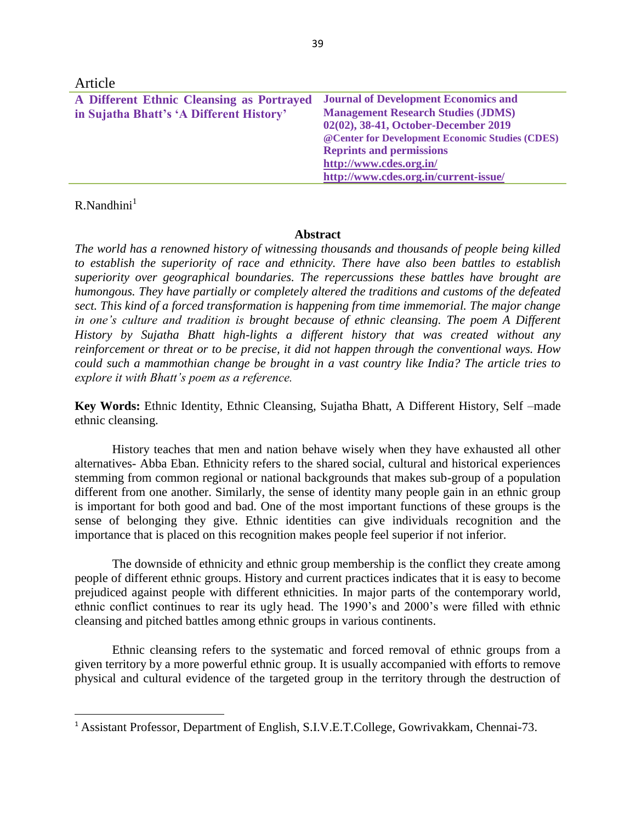| Article                                                                               |                                                                                          |
|---------------------------------------------------------------------------------------|------------------------------------------------------------------------------------------|
| A Different Ethnic Cleansing as Portrayed<br>in Sujatha Bhatt's 'A Different History' | <b>Journal of Development Economics and</b><br><b>Management Research Studies (JDMS)</b> |
|                                                                                       | 02(02), 38-41, October-December 2019                                                     |
|                                                                                       | @ Center for Development Economic Studies (CDES)                                         |
|                                                                                       | <b>Reprints and permissions</b>                                                          |
|                                                                                       | http://www.cdes.org.in/                                                                  |
|                                                                                       | http://www.cdes.org.in/current-issue/                                                    |

# $R$ . Nandhini $<sup>1</sup>$ </sup>

 $\overline{\phantom{a}}$ 

## **Abstract**

*The world has a renowned history of witnessing thousands and thousands of people being killed to establish the superiority of race and ethnicity. There have also been battles to establish superiority over geographical boundaries. The repercussions these battles have brought are humongous. They have partially or completely altered the traditions and customs of the defeated sect. This kind of a forced transformation is happening from time immemorial. The major change in one's culture and tradition is brought because of ethnic cleansing. The poem A Different History by Sujatha Bhatt high-lights a different history that was created without any reinforcement or threat or to be precise, it did not happen through the conventional ways. How could such a mammothian change be brought in a vast country like India? The article tries to explore it with Bhatt's poem as a reference.* 

**Key Words:** Ethnic Identity, Ethnic Cleansing, Sujatha Bhatt, A Different History, Self –made ethnic cleansing.

History teaches that men and nation behave wisely when they have exhausted all other alternatives- Abba Eban. Ethnicity refers to the shared social, cultural and historical experiences stemming from common regional or national backgrounds that makes sub-group of a population different from one another. Similarly, the sense of identity many people gain in an ethnic group is important for both good and bad. One of the most important functions of these groups is the sense of belonging they give. Ethnic identities can give individuals recognition and the importance that is placed on this recognition makes people feel superior if not inferior.

The downside of ethnicity and ethnic group membership is the conflict they create among people of different ethnic groups. History and current practices indicates that it is easy to become prejudiced against people with different ethnicities. In major parts of the contemporary world, ethnic conflict continues to rear its ugly head. The 1990's and 2000's were filled with ethnic cleansing and pitched battles among ethnic groups in various continents.

Ethnic cleansing refers to the systematic and forced removal of ethnic groups from a given territory by a more powerful ethnic group. It is usually accompanied with efforts to remove physical and cultural evidence of the targeted group in the territory through the destruction of

<sup>1</sup> Assistant Professor, Department of English, S.I.V.E.T.College, Gowrivakkam, Chennai-73.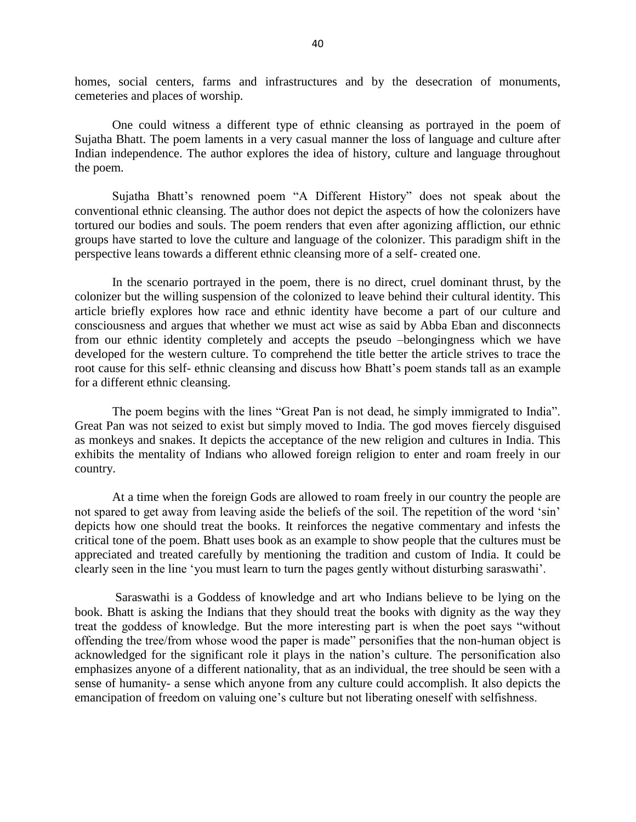homes, social centers, farms and infrastructures and by the desecration of monuments, cemeteries and places of worship.

One could witness a different type of ethnic cleansing as portrayed in the poem of Sujatha Bhatt. The poem laments in a very casual manner the loss of language and culture after Indian independence. The author explores the idea of history, culture and language throughout the poem.

Sujatha Bhatt's renowned poem "A Different History" does not speak about the conventional ethnic cleansing. The author does not depict the aspects of how the colonizers have tortured our bodies and souls. The poem renders that even after agonizing affliction, our ethnic groups have started to love the culture and language of the colonizer. This paradigm shift in the perspective leans towards a different ethnic cleansing more of a self- created one.

In the scenario portrayed in the poem, there is no direct, cruel dominant thrust, by the colonizer but the willing suspension of the colonized to leave behind their cultural identity. This article briefly explores how race and ethnic identity have become a part of our culture and consciousness and argues that whether we must act wise as said by Abba Eban and disconnects from our ethnic identity completely and accepts the pseudo –belongingness which we have developed for the western culture. To comprehend the title better the article strives to trace the root cause for this self- ethnic cleansing and discuss how Bhatt's poem stands tall as an example for a different ethnic cleansing.

The poem begins with the lines "Great Pan is not dead, he simply immigrated to India". Great Pan was not seized to exist but simply moved to India. The god moves fiercely disguised as monkeys and snakes. It depicts the acceptance of the new religion and cultures in India. This exhibits the mentality of Indians who allowed foreign religion to enter and roam freely in our country.

At a time when the foreign Gods are allowed to roam freely in our country the people are not spared to get away from leaving aside the beliefs of the soil. The repetition of the word 'sin' depicts how one should treat the books. It reinforces the negative commentary and infests the critical tone of the poem. Bhatt uses book as an example to show people that the cultures must be appreciated and treated carefully by mentioning the tradition and custom of India. It could be clearly seen in the line 'you must learn to turn the pages gently without disturbing saraswathi'.

Saraswathi is a Goddess of knowledge and art who Indians believe to be lying on the book. Bhatt is asking the Indians that they should treat the books with dignity as the way they treat the goddess of knowledge. But the more interesting part is when the poet says "without offending the tree/from whose wood the paper is made" personifies that the non-human object is acknowledged for the significant role it plays in the nation's culture. The personification also emphasizes anyone of a different nationality, that as an individual, the tree should be seen with a sense of humanity- a sense which anyone from any culture could accomplish. It also depicts the emancipation of freedom on valuing one's culture but not liberating oneself with selfishness.